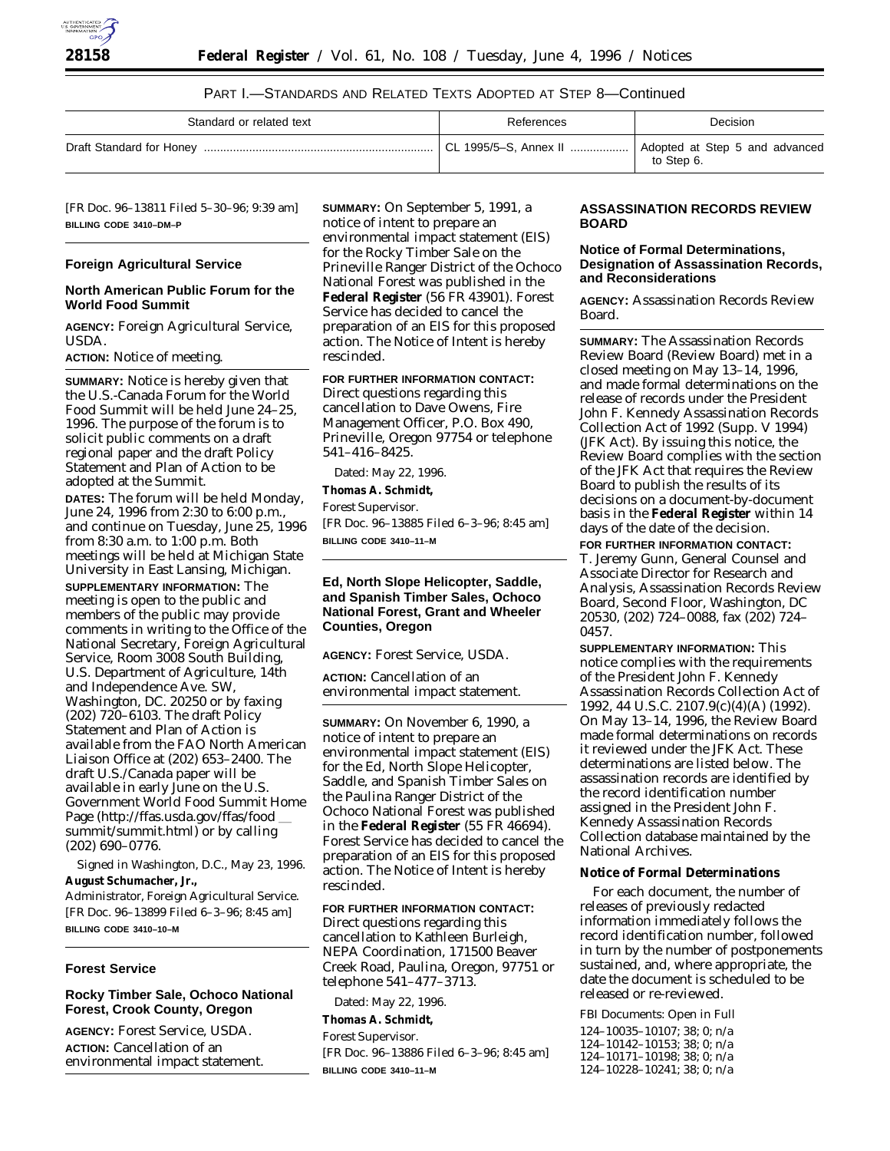

# PART I.—STANDARDS AND RELATED TEXTS ADOPTED AT STEP 8—Continued

| Standard or related text | References            | Decision                                     |  |
|--------------------------|-----------------------|----------------------------------------------|--|
|                          | CL 1995/5-S, Annex II | Adopted at Step 5 and advanced<br>to Step 6. |  |

[FR Doc. 96–13811 Filed 5–30–96; 9:39 am] **BILLING CODE 3410–DM–P**

# **Foreign Agricultural Service**

#### **North American Public Forum for the World Food Summit**

**AGENCY:** Foreign Agricultural Service, USDA.

**ACTION:** Notice of meeting.

**SUMMARY:** Notice is hereby given that the U.S.-Canada Forum for the World Food Summit will be held June 24–25, 1996. The purpose of the forum is to solicit public comments on a draft regional paper and the draft Policy Statement and Plan of Action to be adopted at the Summit.

**DATES:** The forum will be held Monday, June 24, 1996 from 2:30 to 6:00 p.m., and continue on Tuesday, June 25, 1996 from 8:30 a.m. to 1:00 p.m. Both meetings will be held at Michigan State University in East Lansing, Michigan.

**SUPPLEMENTARY INFORMATION:** The meeting is open to the public and members of the public may provide comments in writing to the Office of the National Secretary, Foreign Agricultural Service, Room 3008 South Building, U.S. Department of Agriculture, 14th and Independence Ave. SW, Washington, DC. 20250 or by faxing (202) 720–6103. The draft Policy Statement and Plan of Action is available from the FAO North American Liaison Office at (202) 653–2400. The draft U.S./Canada paper will be available in early June on the U.S. Government World Food Summit Home Page (http://ffas.usda.gov/ffas/food summit/summit.html) or by calling (202) 690–0776.

Signed in Washington, D.C., May 23, 1996. **August Schumacher, Jr.,** *Administrator, Foreign Agricultural Service.*

[FR Doc. 96–13899 Filed 6–3–96; 8:45 am] **BILLING CODE 3410–10–M**

# **Forest Service**

# **Rocky Timber Sale, Ochoco National Forest, Crook County, Oregon**

**AGENCY:** Forest Service, USDA. **ACTION:** Cancellation of an environmental impact statement. **SUMMARY:** On September 5, 1991, a notice of intent to prepare an environmental impact statement (EIS) for the Rocky Timber Sale on the Prineville Ranger District of the Ochoco National Forest was published in the **Federal Register** (56 FR 43901). Forest Service has decided to cancel the preparation of an EIS for this proposed action. The Notice of Intent is hereby rescinded.

**FOR FURTHER INFORMATION CONTACT:**

Direct questions regarding this cancellation to Dave Owens, Fire Management Officer, P.O. Box 490, Prineville, Oregon 97754 or telephone 541–416–8425.

Dated: May 22, 1996. **Thomas A. Schmidt,** *Forest Supervisor.* [FR Doc. 96–13885 Filed 6–3–96; 8:45 am] **BILLING CODE 3410–11–M**

# **Ed, North Slope Helicopter, Saddle, and Spanish Timber Sales, Ochoco National Forest, Grant and Wheeler Counties, Oregon**

**AGENCY:** Forest Service, USDA.

**ACTION:** Cancellation of an environmental impact statement.

**SUMMARY:** On November 6, 1990, a notice of intent to prepare an environmental impact statement (EIS) for the Ed, North Slope Helicopter, Saddle, and Spanish Timber Sales on the Paulina Ranger District of the Ochoco National Forest was published in the **Federal Register** (55 FR 46694). Forest Service has decided to cancel the preparation of an EIS for this proposed action. The Notice of Intent is hereby rescinded.

**FOR FURTHER INFORMATION CONTACT:**

Direct questions regarding this cancellation to Kathleen Burleigh, NEPA Coordination, 171500 Beaver Creek Road, Paulina, Oregon, 97751 or telephone 541–477–3713.

Dated: May 22, 1996.

**Thomas A. Schmidt,**

*Forest Supervisor.*

[FR Doc. 96–13886 Filed 6–3–96; 8:45 am] **BILLING CODE 3410–11–M**

# **ASSASSINATION RECORDS REVIEW BOARD**

# **Notice of Formal Determinations, Designation of Assassination Records, and Reconsiderations**

**AGENCY:** Assassination Records Review Board.

**SUMMARY:** The Assassination Records Review Board (Review Board) met in a closed meeting on May 13–14, 1996, and made formal determinations on the release of records under the President John F. Kennedy Assassination Records Collection Act of 1992 (Supp. V 1994) (JFK Act). By issuing this notice, the Review Board complies with the section of the JFK Act that requires the Review Board to publish the results of its decisions on a document-by-document basis in the **Federal Register** within 14 days of the date of the decision.

**FOR FURTHER INFORMATION CONTACT:** T. Jeremy Gunn, General Counsel and Associate Director for Research and Analysis, Assassination Records Review Board, Second Floor, Washington, DC 20530, (202) 724–0088, fax (202) 724– 0457.

**SUPPLEMENTARY INFORMATION:** This notice complies with the requirements of the President John F. Kennedy Assassination Records Collection Act of 1992, 44 U.S.C. 2107.9(c)(4)(A) (1992). On May 13–14, 1996, the Review Board made formal determinations on records it reviewed under the JFK Act. These determinations are listed below. The assassination records are identified by the record identification number assigned in the President John F. Kennedy Assassination Records Collection database maintained by the National Archives.

# **Notice of Formal Determinations**

For each document, the number of releases of previously redacted information immediately follows the record identification number, followed in turn by the number of postponements sustained, and, where appropriate, the date the document is scheduled to be released or re-reviewed.

*FBI Documents: Open in Full*

124–10035–10107; 38; 0; n/a 124–10142–10153; 38; 0; n/a 124–10171–10198; 38; 0; n/a 124–10228–10241; 38; 0; n/a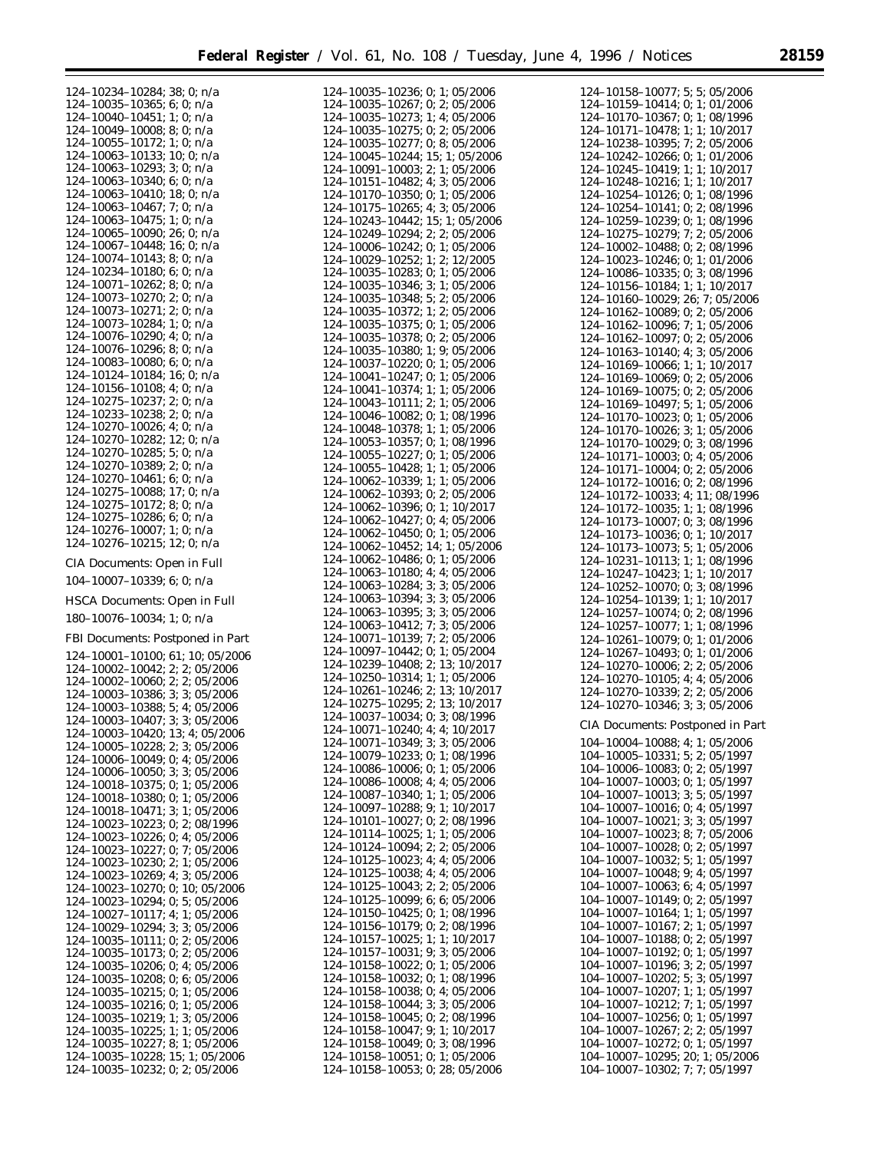$\equiv$ 

| $124-10234-10284; 38; 0; n/a124-10035-10365; 6; 0; n/a$                                                                                                                                                                                                  |
|----------------------------------------------------------------------------------------------------------------------------------------------------------------------------------------------------------------------------------------------------------|
|                                                                                                                                                                                                                                                          |
|                                                                                                                                                                                                                                                          |
|                                                                                                                                                                                                                                                          |
| 124-10035-10365; 6; 0; n/a<br>124-10040-10451; 1; 0; n/a<br>124-10049-10008; 8; 0; n/a<br>124-10055-10172; 1; 0; n/a<br>124-10063-10172; 1; 0; n/a<br>124-10063-10133; 10; 0; n/a<br>124-10063-10293; 3; 0; n/a<br>124-10063-10410; 18; 0;               |
|                                                                                                                                                                                                                                                          |
|                                                                                                                                                                                                                                                          |
|                                                                                                                                                                                                                                                          |
|                                                                                                                                                                                                                                                          |
|                                                                                                                                                                                                                                                          |
|                                                                                                                                                                                                                                                          |
|                                                                                                                                                                                                                                                          |
|                                                                                                                                                                                                                                                          |
|                                                                                                                                                                                                                                                          |
| 124-10067-10448; 16; 0; n/a<br>124-10074-10143; 8; 0; n/a                                                                                                                                                                                                |
| $124-10074-10143; 8; 0; 1/24$<br>$124-10234-10180; 6; 0; n/a$<br>$124-10071-10262; 8; 0; n/a$<br>$124-10073-10270; 2; 0; n/a$<br>$124-10073-10284; 1; 0; n/a$<br>$124-10076-10296; 4; 0; n/a$<br>$124-10076-10296; 8; 0; n/a$<br>$124-10076-10296; 8; 0$ |
|                                                                                                                                                                                                                                                          |
|                                                                                                                                                                                                                                                          |
|                                                                                                                                                                                                                                                          |
|                                                                                                                                                                                                                                                          |
|                                                                                                                                                                                                                                                          |
|                                                                                                                                                                                                                                                          |
|                                                                                                                                                                                                                                                          |
|                                                                                                                                                                                                                                                          |
| $124-10083-10080; 6; 0; n/a$<br>$124-10124-10184; 16; 0; n/a$                                                                                                                                                                                            |
|                                                                                                                                                                                                                                                          |
| $124-10156-10108; 4; 0; n/a$<br>$124-10275-10237; 2; 0; n/a$                                                                                                                                                                                             |
|                                                                                                                                                                                                                                                          |
| 124-10233-10238; 2; 0; n/a                                                                                                                                                                                                                               |
| 124-10270-10026; 4; 0; n/a                                                                                                                                                                                                                               |
| 124-10270-10282; 12; 0; n/a                                                                                                                                                                                                                              |
| $124-10270-10285$ ; 5; 0; n/a<br>124-10270-10389; 2; 0; n/a<br>124-10270-10461; 6; 0; n/a                                                                                                                                                                |
|                                                                                                                                                                                                                                                          |
|                                                                                                                                                                                                                                                          |
|                                                                                                                                                                                                                                                          |
|                                                                                                                                                                                                                                                          |
| $124-10275-10088$ ; 17; 0; n/a<br>124-10275-10172; 8; 0; n/a<br>124-10275-10286; 6; 0; n/a<br>124-10276-10007; 1; 0; n/a                                                                                                                                 |
|                                                                                                                                                                                                                                                          |
|                                                                                                                                                                                                                                                          |
| 124-10276-10215; 12; 0; n/a                                                                                                                                                                                                                              |
|                                                                                                                                                                                                                                                          |
| CIA Documents: Open in Full                                                                                                                                                                                                                              |
|                                                                                                                                                                                                                                                          |
| 104-10007-10339; 6; 0; n/a                                                                                                                                                                                                                               |
|                                                                                                                                                                                                                                                          |
| HSCA Documents: Open in Full                                                                                                                                                                                                                             |
|                                                                                                                                                                                                                                                          |
| 180-10076-10034; 1; 0; n/a                                                                                                                                                                                                                               |
| FBI Documents: Postponed in Part                                                                                                                                                                                                                         |
|                                                                                                                                                                                                                                                          |
| 124-10001-10100; 61; 10; 05/2006                                                                                                                                                                                                                         |
| 124-10002-10042; 2; 2; 05/2006                                                                                                                                                                                                                           |
| 124-10002-10060; 2; 2; 05/2006                                                                                                                                                                                                                           |
| 124-10003-10386; 3; 3; 05/2006                                                                                                                                                                                                                           |
|                                                                                                                                                                                                                                                          |
|                                                                                                                                                                                                                                                          |
| 124-10003-10388; 5; 4; 05/2006<br>124-10003-10407; 3; 3; 05/2006<br>124-10003-10420;                                                                                                                                                                     |
| 13; 4; 05/2006                                                                                                                                                                                                                                           |
|                                                                                                                                                                                                                                                          |
| $124-10005-10228$ ; 2; 3; 05/2006<br>124-10006-10049; 0; 4; 05/2006                                                                                                                                                                                      |
| 124-10006-10050;<br>3; 3; 05/2006                                                                                                                                                                                                                        |
| 124-10018-10375;<br>0;<br>1;05/2006                                                                                                                                                                                                                      |
| 124-10018-10380;<br>0;<br>1; 05/2006                                                                                                                                                                                                                     |
| 124-10018-10471;<br>3;<br>1; 05/2006                                                                                                                                                                                                                     |
| 124-10023-10223;<br>0;<br>2;08/1996                                                                                                                                                                                                                      |
| 124-10023-10226;<br>0;<br>4;05/2006                                                                                                                                                                                                                      |
| 124-10023-10227;<br>7; 05/2006<br>0;                                                                                                                                                                                                                     |
| 124-10023-10230;<br>2;<br>1;05/2006                                                                                                                                                                                                                      |
| 124-10023-10269;<br>4:3:05/2006                                                                                                                                                                                                                          |
| 124-10023-10270;<br>0;<br>10;05/2006                                                                                                                                                                                                                     |
|                                                                                                                                                                                                                                                          |
| 124-10023-10294;<br>0; 5; 05/2006                                                                                                                                                                                                                        |
| 124-10027-10117;<br>1; 05/2006<br>4;                                                                                                                                                                                                                     |
| 124-10029-10294;<br>3;<br>3:05/2006                                                                                                                                                                                                                      |
| $124 - 10035 - 10111;$<br>0;<br>2;05/2006                                                                                                                                                                                                                |
| 0; 2; 05/2006                                                                                                                                                                                                                                            |
| $124 - 10035 - 10173$ ;<br>124-10035-10173;<br>0; 4; 05/2006                                                                                                                                                                                             |
| 0; 6; 05/2006                                                                                                                                                                                                                                            |
| $124 - 10035 - 10208;$<br>124-10035-10215;<br>0;<br>1;05/2006                                                                                                                                                                                            |
| 124-10035-10216;<br>0;<br>1;05/2006                                                                                                                                                                                                                      |
| 124-10035-10219;<br>3;05/2006<br>1;                                                                                                                                                                                                                      |
| 124-10035-10225;<br>1; 1; 05/2006                                                                                                                                                                                                                        |
| 8;                                                                                                                                                                                                                                                       |
| 124-10035-10227;<br>1;05/2006                                                                                                                                                                                                                            |
| 124-10035-10228;<br>15; 1; 05/2006<br>124-10035-10232; 0; 2; 05/2006                                                                                                                                                                                     |

|                                                                | 124-10035-10236; 0; 1; 05/2006                     |
|----------------------------------------------------------------|----------------------------------------------------|
| 124-10035-10267;                                               | 2; 05/2006<br>0;                                   |
| 124-10035-10273;                                               | 1;<br>4;05/2006                                    |
| 124-10035-10275;                                               | 0; 2; 05/2006                                      |
| 124-10035-10277;                                               | 0; 8; 05/2006                                      |
| 124-10045-10244;                                               |                                                    |
|                                                                | 15;<br>1; 05/2006                                  |
| 124-10091-10003;                                               | 2;<br>1; 05/2006                                   |
| 124-10151-10482;                                               | 4;<br>3:05/2006                                    |
| $124 - 10170 - 10350$ ;                                        | 0;<br>1;05/2006                                    |
| 124-10175-10265;                                               | 4; 3; 05/2006                                      |
| $124-10243-10442;$<br>$124-10249-10294;$<br>$124-10006-10242;$ |                                                    |
|                                                                | 15; 1; 05/2006                                     |
|                                                                | 2; 2; 05/2006                                      |
|                                                                | 0;<br>1;<br>05/2006                                |
|                                                                | 2;<br>12/2005<br>1;                                |
| $124-10029-10252;$<br>124-10035-10283;                         | 0;<br>1;<br>05/2006                                |
| 124-10035-10346;                                               | 3;<br>1;                                           |
|                                                                | 05/2006                                            |
| 124-10035-10348;                                               | 5;<br>2;05/2006                                    |
| 124-10035-10372;                                               | 2;05/2006<br>1;                                    |
| 124-10035-10375;                                               | 0;<br>1;05/2006                                    |
| 124-10035-10378;                                               | 0;<br>2;05/2006                                    |
| 124-10035-10380;                                               | 9;05/2006                                          |
|                                                                | 1;                                                 |
| 124-10037-10220;                                               | 0;<br>1;<br>05/2006                                |
| 124-10041-10247;                                               | 0;<br>1;<br>05/2006                                |
| 124-10041-10374;                                               | 1;<br>05/2006<br>1;                                |
| 124-10043-10111;                                               | 2;<br>1; 05/2006                                   |
| 124-10046-10082;                                               | 0;<br>1;<br>08/1996                                |
| 124-10048-10378;                                               |                                                    |
|                                                                | 1;<br>1; 05/2006                                   |
| 124-10053-10357;                                               | 1;<br>08/1996<br>0;                                |
| 124-10055-10227;                                               | 0;<br>1; 05/2006                                   |
| 124-10055-10428;                                               | 1;<br>05/2006<br>1;                                |
| 124-10062-10339;                                               | 1;<br>1; 05/2006                                   |
|                                                                |                                                    |
| 124-10062-10393;                                               | 0;<br>2;05/2006                                    |
| 124-10062-10396;                                               | 0;<br>1;<br>10/2017                                |
| 124-10062-10427;                                               | 0;<br>4:<br>05/2006                                |
| 124-10062-10450;                                               | 0;<br>1;<br>05/2006                                |
| 124-10062-10452;                                               | 14;<br>1; 05/2006                                  |
| 124-10062-10486;                                               |                                                    |
|                                                                | 0;<br>1;05/2006                                    |
|                                                                |                                                    |
| 124-10063-10180;                                               | 4; 4; 05/2006                                      |
| 124-10063-10284;                                               |                                                    |
|                                                                | 3; 3; 05/2006                                      |
| 124-10063-10394;                                               | 3; 05/2006<br>3;                                   |
| 124-10063-10395;                                               | 3; 05/2006<br>3;                                   |
| 124-10063-10412;                                               | 3; 05/2006<br>7;                                   |
| 124-10071-10139;                                               | 7;<br>2;<br>05/2006                                |
| 124-10097-10442;                                               | 0;<br>1;05/2004                                    |
|                                                                |                                                    |
| 124-10239-10408;                                               | 2;<br>13; 10/2017                                  |
| 124-10250-10314;                                               | 1;<br>1:05/2006                                    |
| 124-10261-10246;                                               | 2;<br>13;<br>10/2017                               |
| 124-10275-10295;                                               | 2;<br>13;<br>10/2017                               |
| 124-10037-10034;                                               | 3; 08/1996<br>0;                                   |
|                                                                | 4:<br>4:<br>10/2017                                |
| 124-10071-10240;                                               |                                                    |
| 124-10071-10349;                                               | 3; 3; 05/2006                                      |
| 124-10079-10233;                                               | 0;<br>1;08/1996                                    |
| 124-10086-10006;                                               | 0;<br>1; 05/2006                                   |
| 124-10086-10008;                                               | 4:<br>4;<br>05/2006                                |
| 124-10087-10340;                                               | 1;<br>05/2006                                      |
|                                                                | 1;                                                 |
|                                                                | 9;<br>1;<br>10/2017                                |
| 124-10097-10288;<br>124-10101-10027;                           | 0;<br>2;<br>08/1996                                |
| 124-10114-10025;                                               | 05/2006<br>1;<br>1;                                |
| 124-10124-10094;                                               | 2;<br>2:<br>05/2006                                |
|                                                                | 4:<br>4;<br>05/2006                                |
| 124-10125-10023;                                               |                                                    |
| 124-10125-10038;                                               | 4;<br>4;<br>05/2006                                |
| 124-10125-10043;                                               | 2;<br>2;<br>05/2006                                |
| 124-10125-10099;                                               | 6;<br>6;<br>05/2006                                |
| 124-10150-10425;                                               | 0;<br>1;<br>08/1996                                |
| 124-10156-10179;                                               | 0;<br>2;<br>08/1996                                |
|                                                                | 1;<br>10/2017<br>1;                                |
| 124-10157-10025;                                               |                                                    |
| 124-10157-10031;                                               | 3;<br>9;<br>05/2006                                |
| 124-10158-10022;                                               | 0;<br>1;<br>05/2006                                |
| 124-10158-10032;                                               | 0;<br>1; 08/1996                                   |
| 124-10158-10038;                                               | 4;<br>0;<br>05/2006                                |
| 124-10158-10044;                                               | 3; 05/2006<br>3;                                   |
|                                                                | 0;                                                 |
| 124-10158-10045;                                               | 2;08/1996                                          |
| 124-10158-10047;                                               | 9;<br>1;<br>10/2017                                |
|                                                                | 3;<br>0;<br>08/1996                                |
| 124-10158-10049;<br>124-10158-10051;                           | 0;<br>1;05/2006<br>124-10158-10053; 0; 28; 05/2006 |

| 124-10158-10077; 5; 5; 05/2006                                                                                                       |
|--------------------------------------------------------------------------------------------------------------------------------------|
|                                                                                                                                      |
| 124-10159-10414; 0; 1; 01/2006                                                                                                       |
| 124-10170-10367, 0, 1, 08/1996                                                                                                       |
| $124-10171-10478$ ; 1; 1; 10/2017                                                                                                    |
| 124-10238-10395; 7; 2; 05/2006                                                                                                       |
| $124 - 10242 - 10266;$<br>0:<br>1; 01/2006                                                                                           |
|                                                                                                                                      |
| $1; 1; 10/2017$<br>$1; 1; 10/2017$                                                                                                   |
| 0;<br>1; 08/1996                                                                                                                     |
| 0; 2; 08/1996                                                                                                                        |
| 1; 08/1996<br>0;                                                                                                                     |
| $124-10242-10266; \ 124-10245-10419; \ 124-10248-10216; \ 124-10254-10126; \ 124-10259-10239; \ 124-10275-10279; \$<br>7; 2; 05/2006 |
| 124-10002-10488; 0; 2; 08/1996<br>124-10023-10246; 0; 1; 01/2006                                                                     |
|                                                                                                                                      |
|                                                                                                                                      |
| 124–10086–10335; 0; 3; 08/1996<br>124–10156–10184; 1; 1; 10/2017                                                                     |
|                                                                                                                                      |
| 124-10160-10029; 26; 7; 05/2006<br>124-10162-10089; 0; 2; 05/2006                                                                    |
|                                                                                                                                      |
| 124-10162-10096; 7; 1; 05/2006<br>124-10162-10096; 7; 1; 05/2006                                                                     |
|                                                                                                                                      |
| 124-10163-10140; 4; 3; 05/2006<br>124-10169-10066; 1; 1; 10/2017                                                                     |
|                                                                                                                                      |
| 124-10169-10069; 0; 2; 05/2006<br>124-10169-10069; 0; 2; 05/2006                                                                     |
|                                                                                                                                      |
| $124-10169-10497;$<br>$124-10170-10023;$<br>5; 1; 05/2006                                                                            |
| 0;<br>1;05/2006                                                                                                                      |
| 124-10170-10026; 3; 1; 05/2006<br>124-10170-10029; 0; 3; 08/1996                                                                     |
|                                                                                                                                      |
| 124-10171-10003; 0; 4; 05/2006<br>124-10171-10004; 0; 2; 05/2006                                                                     |
|                                                                                                                                      |
| 124-10172-10016; 0; 2; 08/1996<br>124-10172-10016; 0; 2; 08/1996                                                                     |
|                                                                                                                                      |
|                                                                                                                                      |
| 124-10172-10035; 1; 1; 08/1996<br>124-10173-10007; 0; 3; 08/1996                                                                     |
|                                                                                                                                      |
| 124-10173-10036; 0; 1; 10/2017<br>124-10173-10036; 0; 1; 10/2017                                                                     |
|                                                                                                                                      |
| 124-10231-10113; 1; 1; 08/1996<br>124-10231-10113; 1; 1; 08/1996                                                                     |
|                                                                                                                                      |
| 124-10252-10070; 0; 3; 08/1996<br>124-10254-10139; 1; 1; 10/2017                                                                     |
| 0; 2; 08/1996                                                                                                                        |
| $124-10257-10074; 0;$<br>$124-10257-10077; 1;$<br>1;08/1996                                                                          |
|                                                                                                                                      |
| 124-10261-10079; 0; 1; 01/2006<br>124-10261-10079; 0; 1; 01/2006                                                                     |
|                                                                                                                                      |
| 124-10270-10006; 2; 2; 05/2006<br>124-10270-10006; 2; 2; 05/2006                                                                     |
|                                                                                                                                      |
| $124-10270-10339; 2; 2; 05/2006$<br>$124-10270-10346; 3; 3; 05/2006$                                                                 |
|                                                                                                                                      |
|                                                                                                                                      |
| CIA Documents: Postponed in Part                                                                                                     |
|                                                                                                                                      |
| 104-10004-10088;<br>4; 1; 05/2006                                                                                                    |
| $104 - 10005 - 10331;$<br>2; 05/1997<br>5;                                                                                           |
| 104-10006-10083;<br>0;<br>2;05/1997                                                                                                  |
| $104 - 10007 - 10003;$<br>0;<br>1; 05/1997                                                                                           |
| 104-10007-10013;<br>3;<br>5; 05/1997                                                                                                 |
| $104 - 10007 - 10016;$<br>0:<br>4; 05/1997                                                                                           |
| 104-10007-10021;<br>3:<br>3; 05/1997                                                                                                 |
| $104 - 10007 - 10023;$<br>7; 05/2006<br>8;                                                                                           |
| 104-10007-10028;<br>2; 05/1997<br>0;                                                                                                 |
| 104-10007-10032;<br>5;<br>1; 05/1997                                                                                                 |
| 104-10007-10048;<br>9;<br>4;05/1997                                                                                                  |
| $104 - 10007 - 10063;$<br>6;<br>4:05/1997                                                                                            |
| 104-10007-10149;<br>2:05/1997<br>0;                                                                                                  |
| 104-10007-10164;<br>1;<br>1; 05/1997                                                                                                 |
| 104-10007-10167;<br>2;<br>1; 05/1997                                                                                                 |
| 104-10007-10188;<br>2; 05/1997<br>0;                                                                                                 |
| 104-10007-10192;<br>1; 05/1997<br>0;                                                                                                 |
| 104-10007-10196;<br>2; 05/1997<br>3;                                                                                                 |
| 104-10007-10202;<br>3; 05/1997<br>5;                                                                                                 |
| 104-10007-10207;<br>1; 05/1997<br>1;                                                                                                 |
| 104-10007-10212;<br>7;<br>1; 05/1997                                                                                                 |
| 104-10007-10256;<br>0;<br>1; 05/1997                                                                                                 |
| 104-10007-10267;<br>2:<br>2; 05/1997                                                                                                 |
| $104 - 10007 - 10272$ ;<br>0;<br>1;05/1997                                                                                           |
| 104-10007-10295; 20; 1; 05/200<br>104-10007-10302; 7; 7; 05/1997<br>20; 1; 05/2006                                                   |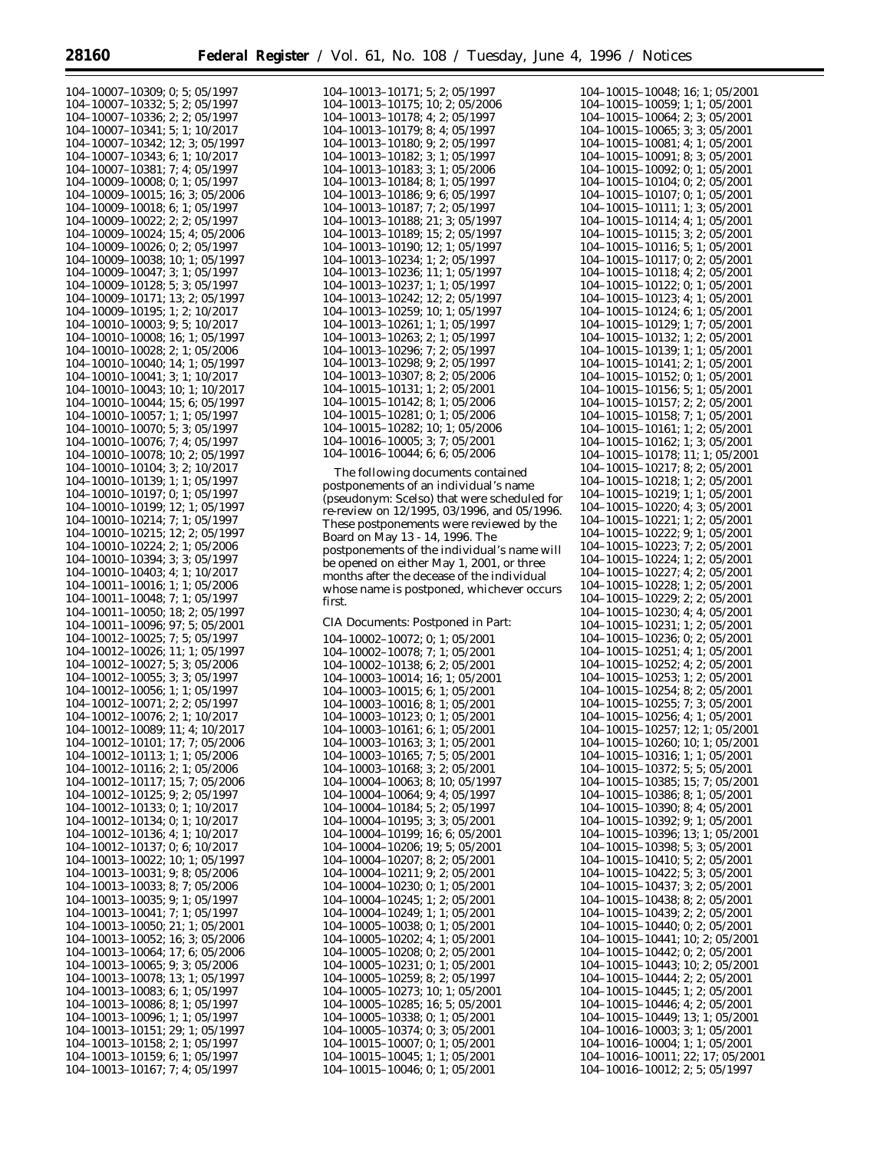|                     | 104-10007-10309; 0; 5; 05/1997                                        |
|---------------------|-----------------------------------------------------------------------|
|                     |                                                                       |
|                     | 104-10007-10332; 5; 2; 05/1997                                        |
|                     | $104-10007-10336; 2; 2; 05/1997$                                      |
|                     | 104-10007-10341; 5; 1; 10/2017                                        |
|                     | 104-10007-10342; 12; 3; 05/1997                                       |
|                     |                                                                       |
|                     | 104-10007-10343; 6; 1; 10/2017                                        |
|                     | 104-10007-10381; 7; 4; 05/1997                                        |
|                     | 104-10009-10008; 0; 1; 05/1997                                        |
|                     |                                                                       |
|                     | 104-10009-10015; 16; 3; 05/2006                                       |
|                     | 104-10009-10018; 6; 1; 05/1997                                        |
|                     | 104-10009-10022; 2; 2; 05/1997                                        |
|                     |                                                                       |
|                     | 104-10009-10024; 15; 4; 05/2006                                       |
|                     | $104-10009-10026$ ; 0; 2; 05/1997                                     |
|                     | 104-10009-10038; 10; 1; 05/1997                                       |
|                     | $104-10009-10047$ ; 3; 1; 05/1997<br>104–10009–10128; 5; 3; 05/1997   |
|                     |                                                                       |
|                     |                                                                       |
|                     | $104-10009-10171$ ; 13; 2; 05/1997                                    |
|                     | 104-10009-10195; 1; 2; 10/2017                                        |
|                     |                                                                       |
|                     | 104-10010-10003; 9; 5; 10/2017                                        |
|                     | 104-10010-10008; 16; 1; 05/1997                                       |
|                     | $104-10010-10028$ ; 2; 1; 05/2006                                     |
|                     | 104-10010-10040; 14; 1; 05/1997                                       |
|                     |                                                                       |
|                     | $104-10010-10041$ ; 3; 1; 10/2017                                     |
|                     | 104-10010-10043; 10; 1; 10/2017                                       |
|                     | $104-10010-10044$ ; 15; 6; 05/1997                                    |
|                     |                                                                       |
|                     | 104-10010-10057; 1; 1; 05/1997                                        |
|                     | $104-10010-10070$ ; 5; 3; 05/1997                                     |
|                     | 104-10010-10076; 7; 4; 05/1997                                        |
|                     | $104-10010-10078$ ; 10; 2; 05/1997                                    |
|                     |                                                                       |
|                     | 104-10010-10104; 3; 2; 10/2017                                        |
|                     | $104-10010-10139; 1; 1; 05/1997$                                      |
|                     | 104-10010-10197; 0; 1; 05/1997                                        |
|                     |                                                                       |
|                     | $104-10010-10199; 12; 1; 05/1997$                                     |
|                     | 104-10010-10214; 7; 1; 05/1997                                        |
|                     | 104-10010-10215; 12; 2; 05/1997                                       |
|                     | 104-10010-10224; 2; 1; 05/2006                                        |
|                     |                                                                       |
|                     | 104-10010-10394; 3; 3; 05/1997                                        |
|                     | 104-10010-10403; 4; 1; 10/2017                                        |
|                     | $104-10011-10016$ ; 1; 1; 05/2006                                     |
|                     |                                                                       |
|                     | $104-10011-10048$ ; 7; 1; 05/1997                                     |
|                     | $104-10011-10050$ ; 18; 2; 05/1997<br>104-10011-10096; 97; 5; 05/2001 |
|                     |                                                                       |
|                     | 104-10012-10025; 7; 5; 05/1997                                        |
|                     |                                                                       |
|                     | 104-10012-10026; 11; 1; 05/1997                                       |
|                     | 104-10012-10027; 5; 3; 05/2006                                        |
|                     | 104-10012-10055; 3; 3; 05/1997                                        |
|                     |                                                                       |
|                     | 104-10012-10056; 1; 1; 05/1997                                        |
|                     | 104-10012-10071; 2; 2; 05/1997                                        |
|                     | 104-10012-10076; 2; 1; 10/2017                                        |
| 104-                | -10012-10089; 11; 4; 10/2017                                          |
|                     |                                                                       |
|                     | 104-10012-10101; 17; 7; 05/2006                                       |
|                     | 104-10012-10113; 1; 1; 05/2006                                        |
|                     | 104-10012-10116; 2; 1; 05/2006                                        |
|                     | 104-10012-10117; 15; 7; 05/2006                                       |
|                     |                                                                       |
|                     | 104-10012-10125; 9; 2; 05/1997                                        |
|                     | 104-10012-10133; 0; 1; 10/2017                                        |
|                     | 104-10012-10134; 0; 1; 10/2017                                        |
| 104-10012-10136; 4; |                                                                       |
|                     | 1; 10/2017                                                            |
|                     | $104-10012-10137$ ; 0; 6; 10/2017                                     |
|                     | 104-10013-10022; 10; 1; 05/1997                                       |
|                     | 104-10013-10031; 9; 8; 05/2006                                        |
|                     |                                                                       |
|                     | 104-10013-10033; 8; 7; 05/2006                                        |
|                     | 104-10013-10035; 9; 1; 05/1997                                        |
|                     | 104-10013-10041; 7; 1; 05/1997                                        |
|                     | 104-10013-10050; 21; 1; 05/2001                                       |
|                     |                                                                       |
|                     | 104-10013-10052; 16; 3; 05/2006                                       |
|                     | 104-10013-10064; 17; 6; 05/2006                                       |
|                     | 104-10013-10065; 9; 3; 05/2006                                        |
|                     | 104-10013-10078; 13; 1; 05/1997                                       |
|                     |                                                                       |
|                     | 104-10013-10083; 6; 1; 05/1997                                        |
|                     | 104-10013-10086; 8; 1; 05/1997                                        |
|                     | 104-10013-10096; 1; 1; 05/1997                                        |
|                     | 104-10013-10151; 29; 1; 05/1997                                       |
|                     |                                                                       |
|                     |                                                                       |
|                     | 104-10013-10158; 2; 1; 05/1997                                        |
|                     |                                                                       |
|                     | 104-10013-10159; 6; 1; 05/1997<br>104-10013-10167; 7; 4; 05/1997      |

| 104-10013-10171; 5; 2; 05/1997  |
|---------------------------------|
| 104-10013-10175; 10; 2; 05/2006 |
| 104-10013-10178; 4; 2; 05/1997  |
| 104-10013-10179; 8; 4; 05/1997  |
| 104-10013-10180; 9; 2; 05/1997  |
| 104-10013-10182; 3; 1; 05/1997  |
|                                 |
| 104-10013-10183; 3; 1; 05/2006  |
| 104-10013-10184; 8; 1; 05/1997  |
| 104-10013-10186: 9: 6: 05/1997  |
| 104-10013-10187; 7; 2; 05/1997  |
| 104-10013-10188; 21; 3; 05/1997 |
| 104-10013-10189; 15; 2; 05/1997 |
| 104-10013-10190; 12; 1; 05/1997 |
| 104-10013-10234: 1: 2: 05/1997  |
| 104-10013-10236; 11; 1; 05/1997 |
| 104-10013-10237; 1; 1; 05/1997  |
| 104-10013-10242; 12; 2; 05/1997 |
| 104-10013-10259; 10; 1; 05/1997 |
| 104-10013-10261; 1; 1; 05/1997  |
|                                 |
| 104-10013-10263; 2; 1; 05/1997  |
| 104-10013-10296: 7: 2: 05/1997  |
| 104-10013-10298; 9; 2; 05/1997  |
| 104-10013-10307; 8; 2; 05/2006  |
| 104-10015-10131; 1; 2; 05/2001  |
| 104-10015-10142; 8; 1; 05/2006  |
| 104-10015-10281; 0; 1; 05/2006  |
| 104-10015-10282; 10; 1; 05/2006 |
| 104-10016-10005; 3; 7; 05/2001  |
| 104-10016-10044; 6; 6; 05/2006  |
|                                 |

The following documents contained postponements of an individual's name (pseudonym: Scelso) that were scheduled for re-review on 12/1995, 03/1996, and 05/1996. These postponements were reviewed by the Board on May 13 - 14, 1996. The postponements of the individual's name will be opened on either May 1, 2001, or three months after the decease of the individual whose name is postponed, whichever occurs first.

*CIA Documents: Postponed in Part:*

104–10002–10072; 0; 1; 05/2001 104–10002–10078; 7; 1; 05/2001 104–10002–10138; 6; 2; 05/2001 104–10003–10014; 16; 1; 05/2001 104–10003–10015; 6; 1; 05/2001 104–10003–10016; 8; 1; 05/2001 104–10003–10123; 0; 1; 05/2001 104–10003–10161; 6; 1; 05/2001 104–10003–10163; 3; 1; 05/2001 104–10003–10165; 7; 5; 05/2001 104–10003–10168; 3; 2; 05/2001 104–10004–10063; 8; 10; 05/1997 104–10004–10064; 9; 4; 05/1997 104–10004–10184; 5; 2; 05/1997 104–10004–10195; 3; 3; 05/2001 104–10004–10199; 16; 6; 05/2001 104–10004–10206; 19; 5; 05/2001 104–10004–10207; 8; 2; 05/2001 104–10004–10211; 9; 2; 05/2001 104–10004–10230; 0; 1; 05/2001 104–10004–10245; 1; 2; 05/2001 104–10004–10249; 1; 1; 05/2001 104–10005–10038; 0; 1; 05/2001 104–10005–10202; 4; 1; 05/2001 104–10005–10208; 0; 2; 05/2001 104–10005–10231; 0; 1; 05/2001 104–10005–10259; 8; 2; 05/1997 104–10005–10273; 10; 1; 05/2001 104–10005–10285; 16; 5; 05/2001 104–10005–10338; 0; 1; 05/2001 104–10005–10374; 0; 3; 05/2001 104–10015–10007; 0; 1; 05/2001 104–10015–10045; 1; 1; 05/2001 104–10015–10046; 0; 1; 05/2001

104–10015–10048; 16; 1; 05/2001 104–10015–10059; 1; 1; 05/2001 104–10015–10064; 2; 3; 05/2001 104–10015–10065; 3; 3; 05/2001 104–10015–10081; 4; 1; 05/2001 104–10015–10091; 8; 3; 05/2001 104–10015–10092; 0; 1; 05/2001 104–10015–10104; 0; 2; 05/2001 104–10015–10107; 0; 1; 05/2001 104–10015–10111; 1; 3; 05/2001 104–10015–10114; 4; 1; 05/2001 104–10015–10115; 3; 2; 05/2001 104–10015–10116; 5; 1; 05/2001 104–10015–10117; 0; 2; 05/2001 104–10015–10118; 4; 2; 05/2001 104–10015–10122; 0; 1; 05/2001 104–10015–10123; 4; 1; 05/2001 104–10015–10124; 6; 1; 05/2001 104–10015–10129; 1; 7; 05/2001 104–10015–10132; 1; 2; 05/2001 104–10015–10139; 1; 1; 05/2001 104–10015–10141; 2; 1; 05/2001 104–10015–10152; 0; 1; 05/2001 104–10015–10156; 5; 1; 05/2001 104–10015–10157; 2; 2; 05/2001 104–10015–10158; 7; 1; 05/2001 104–10015–10161; 1; 2; 05/2001 104–10015–10162; 1; 3; 05/2001 104–10015–10178; 11; 1; 05/2001 104–10015–10217; 8; 2; 05/2001 104–10015–10218; 1; 2; 05/2001 104–10015–10219; 1; 1; 05/2001 104–10015–10220; 4; 3; 05/2001 104–10015–10221; 1; 2; 05/2001 104–10015–10222; 9; 1; 05/2001 104–10015–10223; 7; 2; 05/2001 104–10015–10224; 1; 2; 05/2001 104–10015–10227; 4; 2; 05/2001 104–10015–10228; 1; 2; 05/2001 104–10015–10229; 2; 2; 05/2001 104–10015–10230; 4; 4; 05/2001 104–10015–10231; 1; 2; 05/2001 104–10015–10236; 0; 2; 05/2001 104–10015–10251; 4; 1; 05/2001 104–10015–10252; 4; 2; 05/2001 104–10015–10253; 1; 2; 05/2001 104–10015–10254; 8; 2; 05/2001 104–10015–10255; 7; 3; 05/2001 104–10015–10256; 4; 1; 05/2001 104–10015–10257; 12; 1; 05/2001 104–10015–10260; 10; 1; 05/2001 104–10015–10316; 1; 1; 05/2001 104–10015–10372; 5; 5; 05/2001 104–10015–10385; 15; 7; 05/2001 104–10015–10386; 8; 1; 05/2001 104–10015–10390; 8; 4; 05/2001 104–10015–10392; 9; 1; 05/2001 104–10015–10396; 13; 1; 05/2001 104–10015–10398; 5; 3; 05/2001 104–10015–10410; 5; 2; 05/2001 104–10015–10422; 5; 3; 05/2001 104–10015–10437; 3; 2; 05/2001 104–10015–10438; 8; 2; 05/2001 104–10015–10439; 2; 2; 05/2001 104–10015–10440; 0; 2; 05/2001 104–10015–10441; 10; 2; 05/2001 104–10015–10442; 0; 2; 05/2001 104–10015–10443; 10; 2; 05/2001 104–10015–10444; 2; 2; 05/2001 104–10015–10445; 1; 2; 05/2001 104–10015–10446; 4; 2; 05/2001 104–10015–10449; 13; 1; 05/2001 104–10016–10003; 3; 1; 05/2001 104–10016–10004; 1; 1; 05/2001 104–10016–10011; 22; 17; 05/2001 104–10016–10012; 2; 5; 05/1997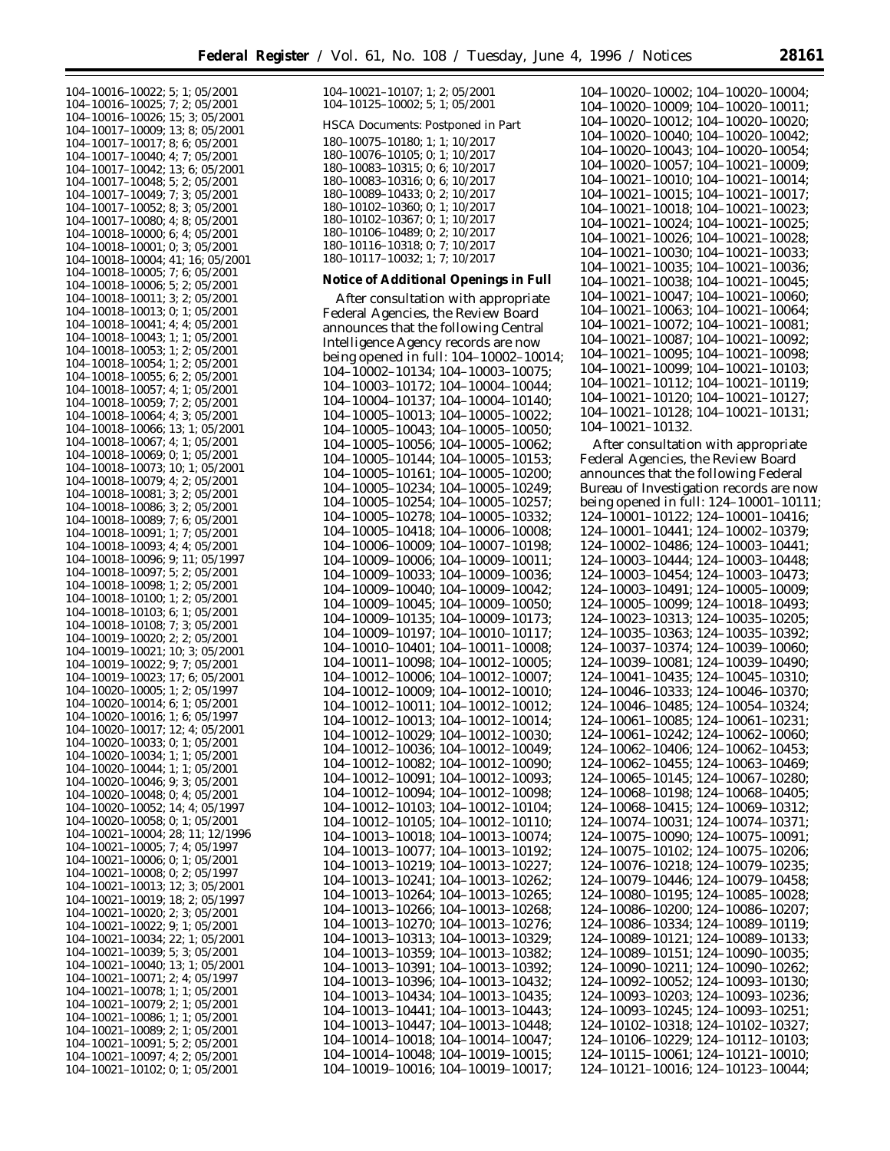104–10016–10022; 5; 1; 05/2001 104–10016–10025; 7; 2; 05/2001 104–10016–10026; 15; 3; 05/2001 104–10017–10009; 13; 8; 05/2001 104–10017–10017; 8; 6; 05/2001 104–10017–10040; 4; 7; 05/2001 104–10017–10042; 13; 6; 05/2001 104–10017–10048; 5; 2; 05/2001 104–10017–10049; 7; 3; 05/2001 104–10017–10052; 8; 3; 05/2001 104–10017–10080; 4; 8; 05/2001 104–10018–10000; 6; 4; 05/2001 104–10018–10001; 0; 3; 05/2001 104–10018–10004; 41; 16; 05/2001 104–10018–10005; 7; 6; 05/2001 104–10018–10006; 5; 2; 05/2001 104–10018–10011; 3; 2; 05/2001 104–10018–10013; 0; 1; 05/2001 104–10018–10041; 4; 4; 05/2001 104–10018–10043; 1; 1; 05/2001 104–10018–10053; 1; 2; 05/2001 104–10018–10054; 1; 2; 05/2001 104–10018–10055; 6; 2; 05/2001 104–10018–10057; 4; 1; 05/2001 104–10018–10059; 7; 2; 05/2001 104–10018–10064; 4; 3; 05/2001 104–10018–10066; 13; 1; 05/2001 104–10018–10067; 4; 1; 05/2001 104–10018–10069; 0; 1; 05/2001 104–10018–10073; 10; 1; 05/2001 104–10018–10079; 4; 2; 05/2001 104–10018–10081; 3; 2; 05/2001 104–10018–10086; 3; 2; 05/2001 104–10018–10089; 7; 6; 05/2001 104–10018–10091; 1; 7; 05/2001 104–10018–10093; 4; 4; 05/2001 104–10018–10096; 9; 11; 05/1997 104–10018–10097; 5; 2; 05/2001 104–10018–10098; 1; 2; 05/2001 104–10018–10100; 1; 2; 05/2001 104–10018–10103; 6; 1; 05/2001 104–10018–10108; 7; 3; 05/2001 104–10019–10020; 2; 2; 05/2001 104–10019–10021; 10; 3; 05/2001 104–10019–10022; 9; 7; 05/2001 104–10019–10023; 17; 6; 05/2001 104–10020–10005; 1; 2; 05/1997 104–10020–10014; 6; 1; 05/2001 104–10020–10016; 1; 6; 05/1997 104–10020–10017; 12; 4; 05/2001 104–10020–10033; 0; 1; 05/2001 104–10020–10034; 1; 1; 05/2001 104–10020–10044; 1; 1; 05/2001 104–10020–10046; 9; 3; 05/2001 104–10020–10048; 0; 4; 05/2001 104–10020–10052; 14; 4; 05/1997 104–10020–10058; 0; 1; 05/2001 104–10021–10004; 28; 11; 12/1996 104–10021–10005; 7; 4; 05/1997 104–10021–10006; 0; 1; 05/2001 104–10021–10008; 0; 2; 05/1997 104–10021–10013; 12; 3; 05/2001 104–10021–10019; 18; 2; 05/1997 104–10021–10020; 2; 3; 05/2001 104–10021–10022; 9; 1; 05/2001 104–10021–10034; 22; 1; 05/2001 104–10021–10039; 5; 3; 05/2001 104–10021–10040; 13; 1; 05/2001 104–10021–10071; 2; 4; 05/1997 104–10021–10078; 1; 1; 05/2001 104–10021–10079; 2; 1; 05/2001 104–10021–10086; 1; 1; 05/2001 104–10021–10089; 2; 1; 05/2001 104–10021–10091; 5; 2; 05/2001 104–10021–10097; 4; 2; 05/2001 104–10021–10102; 0; 1; 05/2001

| 104-10021-10107; 1; 2; 05/2001<br>104-10125-10002; 5; 1; 05/2001                                   |
|----------------------------------------------------------------------------------------------------|
| HSCA Documents: Postponed in Part                                                                  |
| 180-10075-10180; 1; 1; 10/2017<br>180-10076-10105; 0; 1; 10/2017<br>180-10083-10315; 0; 6; 10/2017 |
| 180-10083-10316; 0; 6; 10/2017                                                                     |
| 180-10089-10433; 0; 2; 10/2017<br>180-10102-10360; 0; 1; 10/2017                                   |
| 180-10102-10367; 0; 1; 10/2017<br>180-10106-10489; 0; 2; 10/2017                                   |
| 180-10116-10318; 0; 7; 10/2017<br>180-10117-10032; 1; 7; 10/2017                                   |
| Notice of Additional Openings in Full                                                              |
| After consultation with appropriate                                                                |
| Federal Agencies, the Review Board<br>announces that the following Central                         |
| Intelligence Agency records are now                                                                |
| being opened in full: 104-10002-10014;<br>104-10002-10134; 104-10003-10075;                        |
| 104-10003-10172; 104-10004-10044;                                                                  |
| 104-10004-10137; 104-10004-10140;<br>104-10005-10013; 104-10005-10022;                             |
| 104-10005-10043; 104-10005-10050;                                                                  |
| 104-10005-10056; 104-10005-10062;<br>104-10005-10144;<br>$104 - 10005 - 10153$ ;                   |
| 104-10005-10161;<br>$104 - 10005 - 10200;$                                                         |
| 104-10005-10234;<br>104-10005-10249;<br>104-10005-10254;<br>104-10005-10257;                       |
| 104-10005-10278;<br>104-10005-10332;                                                               |
| 104-10005-10418;<br>104-10006-10008;<br>104-10006-10009;<br>104-10007-10198;                       |
| 104-10009-10006;<br>$104 - 10009 - 10011;$                                                         |
| 104-10009-10033;<br>104-10009-10036;<br>104-10009-10042;                                           |
| 104-10009-10040;<br>104-10009-10045;<br>104-10009-10050;                                           |
| 104-10009-10135;<br>104-10009-10173;                                                               |
| 104-10009-10197;<br>104-10010-10117;<br>104-10010-10401;<br>$104 - 10011 - 10008;$                 |
| 104-10011-10098;<br>104-10012-10005;                                                               |
| 104-10012-10006; 104-10012-10007;<br>104-10012-10009; 104-10012-10010;                             |
| 104-10012-10011; 104-10012-10012;                                                                  |
| 104-10012-10013; 104-10012-10014;                                                                  |
| 104–10012–10029; 104–10012–10030;<br>104-10012-10036;<br>104-10012-10049;                          |
| 104-10012-10082;<br>104-10012-10090;                                                               |
| 104–10012–10091;<br>104-10012-10093;<br>104-10012-10094;<br>104-10012-10098;                       |
| 104-10012-10103;<br>104-10012-10104;                                                               |
| 104-10012-10105;<br>104-10012-10110;<br>104-10013-10018;<br>104-10013-10074;                       |
| 104-10013-10077;<br>104-10013-10192;                                                               |
| 104-10013-10219;<br>104-10013-10227;                                                               |
| 104-10013-10241;<br>104-10013-10262;<br>104-10013-10264;<br>104-10013-10265;                       |
| 104-10013-10266;<br>104-10013-10268;                                                               |
| 104-10013-10270;<br>104-10013-10276;<br>104-10013-10313;<br>104-10013-10329;                       |
| 104-10013-10359;<br>104-10013-10382;                                                               |
| 104–10013–10391;<br>104-10013-10392;<br>104-10013-10396;<br>104-10013-10432;                       |
| 104-10013-10434;<br>104-10013-10435;                                                               |
| 104–10013–10441;<br>104-10013-10443;                                                               |
| 104-10013-10447;<br>104-10013-10448;<br>104-10014-10018;<br>104-10014-10047;                       |
| 104-10014-10048;<br>104-10019-10015;                                                               |
| 104-10019-10016;<br>104-10019-10017;                                                               |

104–10020–10002; 104–10020–10004; 104–10020–10009; 104–10020–10011; 104–10020–10012; 104–10020–10020; 104–10020–10040; 104–10020–10042; 104–10020–10043; 104–10020–10054; 104–10020–10057; 104–10021–10009; 104–10021–10010; 104–10021–10014; 104–10021–10015; 104–10021–10017; 104–10021–10018; 104–10021–10023; 104–10021–10024; 104–10021–10025; 104–10021–10026; 104–10021–10028; 104–10021–10030; 104–10021–10033; 104–10021–10035; 104–10021–10036; 104–10021–10038; 104–10021–10045; 104–10021–10047; 104–10021–10060; 104–10021–10063; 104–10021–10064; 104–10021–10072; 104–10021–10081; 104–10021–10087; 104–10021–10092; 104–10021–10095; 104–10021–10098; 104–10021–10099; 104–10021–10103; 104–10021–10112; 104–10021–10119; 104–10021–10120; 104–10021–10127; 104–10021–10128; 104–10021–10131; 104–10021–10132.

After consultation with appropriate Federal Agencies, the Review Board announces that the following Federal Bureau of Investigation records are now being opened in full: 124–10001–10111; 124–10001–10122; 124–10001–10416; 124–10001–10441; 124–10002–10379; 124–10002–10486; 124–10003–10441; 124–10003–10444; 124–10003–10448; 124–10003–10454; 124–10003–10473; 124–10003–10491; 124–10005–10009; 124–10005–10099; 124–10018–10493; 124–10023–10313; 124–10035–10205; 124–10035–10363; 124–10035–10392; 124–10037–10374; 124–10039–10060; 124–10039–10081; 124–10039–10490; 124–10041–10435; 124–10045–10310; 124–10046–10333; 124–10046–10370; 124–10046–10485; 124–10054–10324; 124–10061–10085; 124–10061–10231; 124–10061–10242; 124–10062–10060; 124–10062–10406; 124–10062–10453; 124–10062–10455; 124–10063–10469; 124–10065–10145; 124–10067–10280; 124–10068–10198; 124–10068–10405; 124–10068–10415; 124–10069–10312; 124–10074–10031; 124–10074–10371; 124–10075–10090; 124–10075–10091; 124–10075–10102; 124–10075–10206; 124–10076–10218; 124–10079–10235; 124–10079–10446; 124–10079–10458; 124–10080–10195; 124–10085–10028; 124–10086–10200; 124–10086–10207; 124–10086–10334; 124–10089–10119; 124–10089–10121; 124–10089–10133; 124–10089–10151; 124–10090–10035; 124–10090–10211; 124–10090–10262; 124–10092–10052; 124–10093–10130; 124–10093–10203; 124–10093–10236; 124–10093–10245; 124–10093–10251; 124–10102–10318; 124–10102–10327; 124–10106–10229; 124–10112–10103; 124–10115–10061; 124–10121–10010; 124–10121–10016; 124–10123–10044;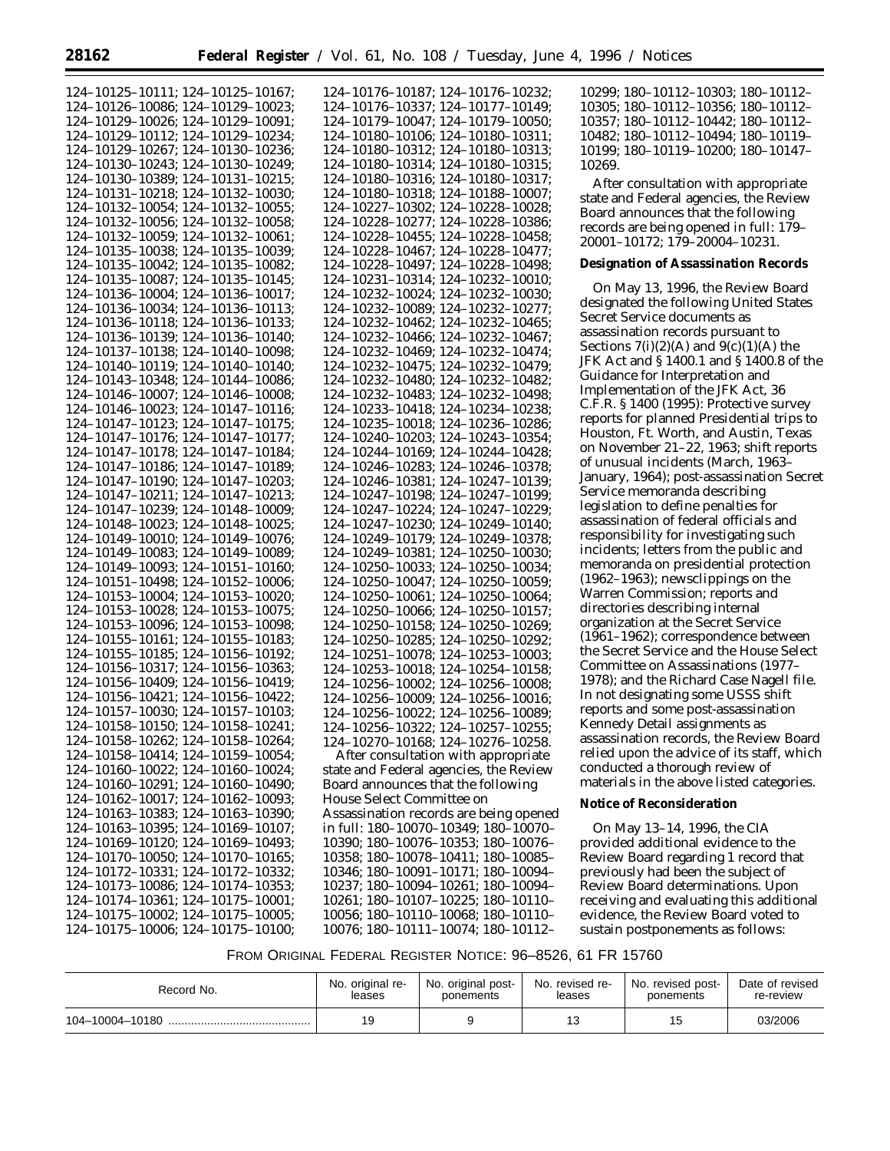| 124-10125-10111; 124-10125-10167;                                      | 124-10176-10187; 124-10176-10232;                                      | 10299;         |
|------------------------------------------------------------------------|------------------------------------------------------------------------|----------------|
| 124-10126-10086; 124-10129-10023;                                      | 124-10176-10337; 124-10177-10149;                                      | 10305;         |
| 124-10129-10026; 124-10129-10091;                                      | 124-10179-10047; 124-10179-10050;                                      | 10357;         |
| 124-10129-10112; 124-10129-10234;                                      | 124-10180-10106; 124-10180-10311;                                      | 10482;         |
| 124-10129-10267; 124-10130-10236;                                      | 124-10180-10312; 124-10180-10313;                                      | 10199;         |
| 124-10130-10243; 124-10130-10249;                                      | 124-10180-10314; 124-10180-10315;                                      | 10269.         |
| 124-10130-10389; 124-10131-10215;                                      | 124-10180-10316; 124-10180-10317;                                      | After          |
| 124-10131-10218; 124-10132-10030;                                      | 124-10180-10318; 124-10188-10007;                                      | state an       |
| 124-10132-10054; 124-10132-10055;                                      | 124-10227-10302; 124-10228-10028;                                      | Board a        |
| 124-10132-10056; 124-10132-10058;                                      | 124-10228-10277; 124-10228-10386;                                      | records        |
| 124-10132-10059; 124-10132-10061;                                      | 124-10228-10455; 124-10228-10458;                                      | $20001 -$      |
| 124-10135-10038; 124-10135-10039;                                      | 124-10228-10467; 124-10228-10477;                                      |                |
| 124-10135-10042; 124-10135-10082;                                      | 124-10228-10497; 124-10228-10498;                                      | Designa        |
| 124-10135-10087; 124-10135-10145;                                      | 124-10231-10314; 124-10232-10010;                                      | On M           |
| 124-10136-10004; 124-10136-10017;                                      | 124-10232-10024; 124-10232-10030;                                      | designa        |
| 124-10136-10034; 124-10136-10113;                                      | 124-10232-10089; 124-10232-10277;                                      | Secret S       |
| 124-10136-10118; 124-10136-10133;                                      | 124-10232-10462; 124-10232-10465;                                      | assassir       |
| 124-10136-10139; 124-10136-10140;                                      | 124-10232-10466; 124-10232-10467;                                      | Section        |
| 124-10137-10138; 124-10140-10098;                                      | 124-10232-10469; 124-10232-10474;                                      | <b>JFK Act</b> |
| 124-10140-10119; 124-10140-10140;                                      | 124-10232-10475; 124-10232-10479;                                      | Guidan         |
| 124-10143-10348; 124-10144-10086;                                      | 124-10232-10480; 124-10232-10482;                                      | Implem         |
| 124-10146-10007; 124-10146-10008;                                      | 124-10232-10483; 124-10232-10498;                                      | C.F.R. S       |
| 124-10146-10023; 124-10147-10116;                                      | 124-10233-10418; 124-10234-10238;                                      | reports        |
| 124-10147-10123; 124-10147-10175;                                      | 124-10235-10018; 124-10236-10286;                                      | Houstor        |
| 124-10147-10176; 124-10147-10177;<br>124-10147-10178; 124-10147-10184; | 124-10240-10203; 124-10243-10354;<br>124-10244-10169; 124-10244-10428; | on Nove        |
| 124-10147-10186; 124-10147-10189;                                      | 124-10246-10283; 124-10246-10378;                                      | of unus        |
| 124-10147-10190; 124-10147-10203;                                      | 124-10246-10381; 124-10247-10139;                                      | January        |
| 124-10147-10211; 124-10147-10213;                                      | 124-10247-10198; 124-10247-10199;                                      | Service        |
| 124-10147-10239; 124-10148-10009;                                      | 124-10247-10224; 124-10247-10229;                                      | legislati      |
| 124-10148-10023; 124-10148-10025;                                      | 124-10247-10230; 124-10249-10140;                                      | assassir       |
| 124-10149-10010; 124-10149-10076;                                      | 124-10249-10179; 124-10249-10378;                                      | respons        |
| 124-10149-10083; 124-10149-10089;                                      | 124-10249-10381; 124-10250-10030;                                      | inciden        |
| 124-10149-10093; 124-10151-10160;                                      | 124-10250-10033; 124-10250-10034;                                      | memora         |
| 124-10151-10498; 124-10152-10006;                                      | 124-10250-10047; 124-10250-10059;                                      | $(1962 - 1)$   |
| 124-10153-10004; 124-10153-10020;                                      | 124-10250-10061; 124-10250-10064;                                      | Warren         |
| 124-10153-10028; 124-10153-10075;                                      | 124-10250-10066; 124-10250-10157;                                      | director       |
| 124-10153-10096; 124-10153-10098;                                      | 124-10250-10158; 124-10250-10269;                                      | organiz        |
| 124-10155-10161; 124-10155-10183;                                      | 124-10250-10285; 124-10250-10292;                                      | $(1961 - 1)$   |
| 124-10155-10185; 124-10156-10192;                                      | 124-10251-10078; 124-10253-10003;                                      | the Seci       |
| 124-10156-10317; 124-10156-10363;                                      | 124-10253-10018; 124-10254-10158;                                      | Commit         |
| 124-10156-10409; 124-10156-10419;                                      | 124-10256-10002; 124-10256-10008;                                      | $1978$ ; a     |
| 124-10156-10421; 124-10156-10422;                                      | 124-10256-10009; 124-10256-10016;                                      | In not d       |
| 124-10157-10030; 124-10157-10103;                                      | 124-10256-10022; 124-10256-10089;                                      | reports        |
| 124-10158-10150; 124-10158-10241;                                      | 124-10256-10322; 124-10257-10255;                                      | Kenned         |
| 124-10158-10262; 124-10158-10264;                                      | 124-10270-10168; 124-10276-10258.                                      | assassir       |
| 124-10158-10414; 124-10159-10054;                                      | After consultation with appropriate                                    | relied u       |
| 124-10160-10022; 124-10160-10024;                                      | state and Federal agencies, the Review                                 | conduc         |
| 124-10160-10291; 124-10160-10490;                                      | Board announces that the following                                     | materia        |
| 124-10162-10017; 124-10162-10093;                                      | House Select Committee on                                              | Notice o       |
| 124-10163-10383; 124-10163-10390;                                      | Assassination records are being opened                                 |                |
| 124-10163-10395; 124-10169-10107;                                      | in full: 180-10070-10349; 180-10070-                                   | On M           |
| 124-10169-10120; 124-10169-10493;                                      | 10390; 180-10076-10353; 180-10076-                                     | provide        |
| 124-10170-10050; 124-10170-10165;                                      | 10358; 180-10078-10411; 180-10085-                                     | Review         |
| 124-10172-10331; 124-10172-10332;                                      | 10346; 180-10091-10171; 180-10094-                                     | previou        |
| 124-10173-10086; 124-10174-10353;                                      | 10237; 180-10094-10261; 180-10094-                                     | Review         |
| 124-10174-10361; 124-10175-10001;                                      | 10261; 180-10107-10225; 180-10110-                                     | receivir       |
| 124-10175-10002; 124-10175-10005;                                      | 10056; 180-10110-10068; 180-10110-                                     | evidenc        |
| 124-10175-10006; 124-10175-10100;                                      | 10076; 180-10111-10074; 180-10112-                                     | sustain        |

10299; 180–10112–10303; 180–10112– 10305; 180–10112–10356; 180–10112– 10357; 180–10112–10442; 180–10112– 10482; 180–10112–10494; 180–10119– 10199; 180–10119–10200; 180–10147–

consultation with appropriate d Federal agencies, the Review innounces that the following are being opened in full: 179– 20001–10172; 179–20004–10231.

#### **Designation of Assassination Records**

lay 13, 1996, the Review Board ted the following United States Service documents as nation records pursuant to s  $7(i)(2)(A)$  and  $9(c)(1)(A)$  the and § 1400.1 and § 1400.8 of the ce for Interpretation and entation of the JFK Act, 36  $\S 1400$  (1995): Protective survey for planned Presidential trips to n, Ft. Worth, and Austin, Texas ember 21–22, 1963; shift reports ual incidents (March, 1963– , 1964); post-assassination Secret memoranda describing lon to define penalties for nation of federal officials and ibility for investigating such its; letters from the public and anda on presidential protection (1963); newsclippings on the Commission; reports and ries describing internal ation at the Secret Service (962); correspondence between ret Service and the House Select ttee on Assassinations (1977– and the Richard Case Nagell file. lesignating some USSS shift and some post-assassination ly Detail assignments as nation records, the Review Board pon the advice of its staff, which ted a thorough review of ls in the above listed categories.

#### **Notice of Reconsideration**

lay 13–14, 1996, the CIA d additional evidence to the Board regarding 1 record that sly had been the subject of Board determinations. Upon ng and evaluating this additional e, the Review Board voted to postponements as follows:

### FROM ORIGINAL FEDERAL REGISTER NOTICE: 96–8526, 61 FR 15760

| Record No.      | No. original re- | No. original post- | No. revised re- | No. revised post- | Date of revised |
|-----------------|------------------|--------------------|-----------------|-------------------|-----------------|
|                 | leases           | ponements          | leases          | ponements         | re-review       |
| 104-10004-10180 | 19               |                    |                 |                   | 03/2006         |